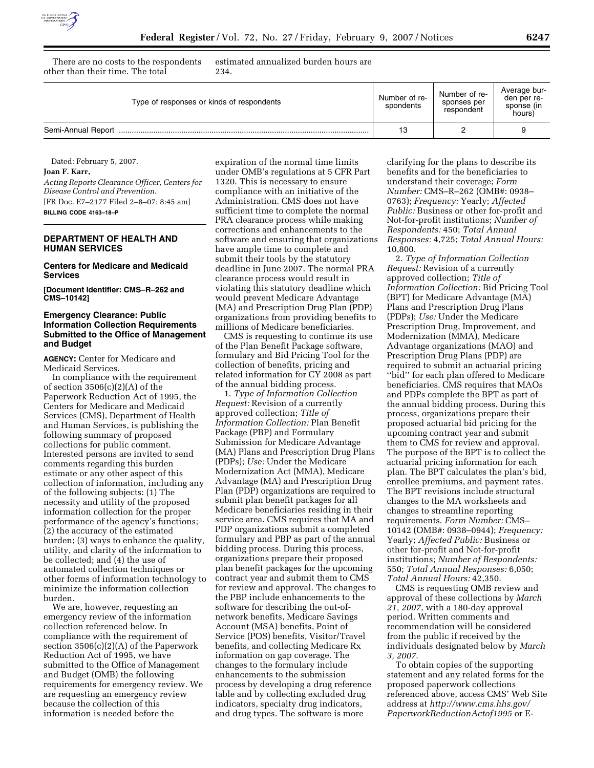

There are no costs to the respondents other than their time. The total

estimated annualized burden hours are 234.

| Type of responses or kinds of respondents | Number of re-<br>spondents | Number of re-<br>sponses per<br>respondent | Average bur-<br>den per re-<br>sponse (in<br>hours) |
|-------------------------------------------|----------------------------|--------------------------------------------|-----------------------------------------------------|
|                                           | 13                         |                                            |                                                     |

Dated: February 5, 2007.

**Joan F. Karr,** 

*Acting Reports Clearance Officer, Centers for Disease Control and Prevention.*  [FR Doc. E7–2177 Filed 2–8–07; 8:45 am] **BILLING CODE 4163–18–P** 

# **DEPARTMENT OF HEALTH AND HUMAN SERVICES**

**Centers for Medicare and Medicaid Services** 

**[Document Identifier: CMS–R–262 and CMS–10142]** 

## **Emergency Clearance: Public Information Collection Requirements Submitted to the Office of Management and Budget**

**AGENCY:** Center for Medicare and Medicaid Services.

In compliance with the requirement of section  $3506(c)(2)(A)$  of the Paperwork Reduction Act of 1995, the Centers for Medicare and Medicaid Services (CMS), Department of Health and Human Services, is publishing the following summary of proposed collections for public comment. Interested persons are invited to send comments regarding this burden estimate or any other aspect of this collection of information, including any of the following subjects: (1) The necessity and utility of the proposed information collection for the proper performance of the agency's functions; (2) the accuracy of the estimated burden; (3) ways to enhance the quality, utility, and clarity of the information to be collected; and (4) the use of automated collection techniques or other forms of information technology to minimize the information collection burden.

We are, however, requesting an emergency review of the information collection referenced below. In compliance with the requirement of section 3506(c)(2)(A) of the Paperwork Reduction Act of 1995, we have submitted to the Office of Management and Budget (OMB) the following requirements for emergency review. We are requesting an emergency review because the collection of this information is needed before the

expiration of the normal time limits under OMB's regulations at 5 CFR Part 1320. This is necessary to ensure compliance with an initiative of the Administration. CMS does not have sufficient time to complete the normal PRA clearance process while making corrections and enhancements to the software and ensuring that organizations have ample time to complete and submit their tools by the statutory deadline in June 2007. The normal PRA clearance process would result in violating this statutory deadline which would prevent Medicare Advantage (MA) and Prescription Drug Plan (PDP) organizations from providing benefits to millions of Medicare beneficiaries.

CMS is requesting to continue its use of the Plan Benefit Package software, formulary and Bid Pricing Tool for the collection of benefits, pricing and related information for CY 2008 as part of the annual bidding process.

1. *Type of Information Collection Request:* Revision of a currently approved collection; *Title of Information Collection:* Plan Benefit Package (PBP) and Formulary Submission for Medicare Advantage (MA) Plans and Prescription Drug Plans (PDPs); *Use:* Under the Medicare Modernization Act (MMA), Medicare Advantage (MA) and Prescription Drug Plan (PDP) organizations are required to submit plan benefit packages for all Medicare beneficiaries residing in their service area. CMS requires that MA and PDP organizations submit a completed formulary and PBP as part of the annual bidding process. During this process, organizations prepare their proposed plan benefit packages for the upcoming contract year and submit them to CMS for review and approval. The changes to the PBP include enhancements to the software for describing the out-ofnetwork benefits, Medicare Savings Account (MSA) benefits, Point of Service (POS) benefits, Visitor/Travel benefits, and collecting Medicare Rx information on gap coverage. The changes to the formulary include enhancements to the submission process by developing a drug reference table and by collecting excluded drug indicators, specialty drug indicators, and drug types. The software is more

clarifying for the plans to describe its benefits and for the beneficiaries to understand their coverage; *Form Number:* CMS–R–262 (OMB#: 0938– 0763); *Frequency:* Yearly; *Affected Public:* Business or other for-profit and Not-for-profit institutions; *Number of Respondents:* 450; *Total Annual Responses:* 4,725; *Total Annual Hours:*  10,800.

2. *Type of Information Collection Request:* Revision of a currently approved collection; *Title of Information Collection:* Bid Pricing Tool (BPT) for Medicare Advantage (MA) Plans and Prescription Drug Plans (PDPs); *Use:* Under the Medicare Prescription Drug, Improvement, and Modernization (MMA), Medicare Advantage organizations (MAO) and Prescription Drug Plans (PDP) are required to submit an actuarial pricing ''bid'' for each plan offered to Medicare beneficiaries. CMS requires that MAOs and PDPs complete the BPT as part of the annual bidding process. During this process, organizations prepare their proposed actuarial bid pricing for the upcoming contract year and submit them to CMS for review and approval. The purpose of the BPT is to collect the actuarial pricing information for each plan. The BPT calculates the plan's bid, enrollee premiums, and payment rates. The BPT revisions include structural changes to the MA worksheets and changes to streamline reporting requirements. *Form Number:* CMS– 10142 (OMB#: 0938–0944); *Frequency:*  Yearly; *Affected Public:* Business or other for-profit and Not-for-profit institutions; *Number of Respondents:*  550; *Total Annual Responses:* 6,050; *Total Annual Hours:* 42,350.

CMS is requesting OMB review and approval of these collections by *March 21, 2007*, with a 180-day approval period. Written comments and recommendation will be considered from the public if received by the individuals designated below by *March 3, 2007*.

To obtain copies of the supporting statement and any related forms for the proposed paperwork collections referenced above, access CMS' Web Site address at *http://www.cms.hhs.gov/ PaperworkReductionActof1995* or E-